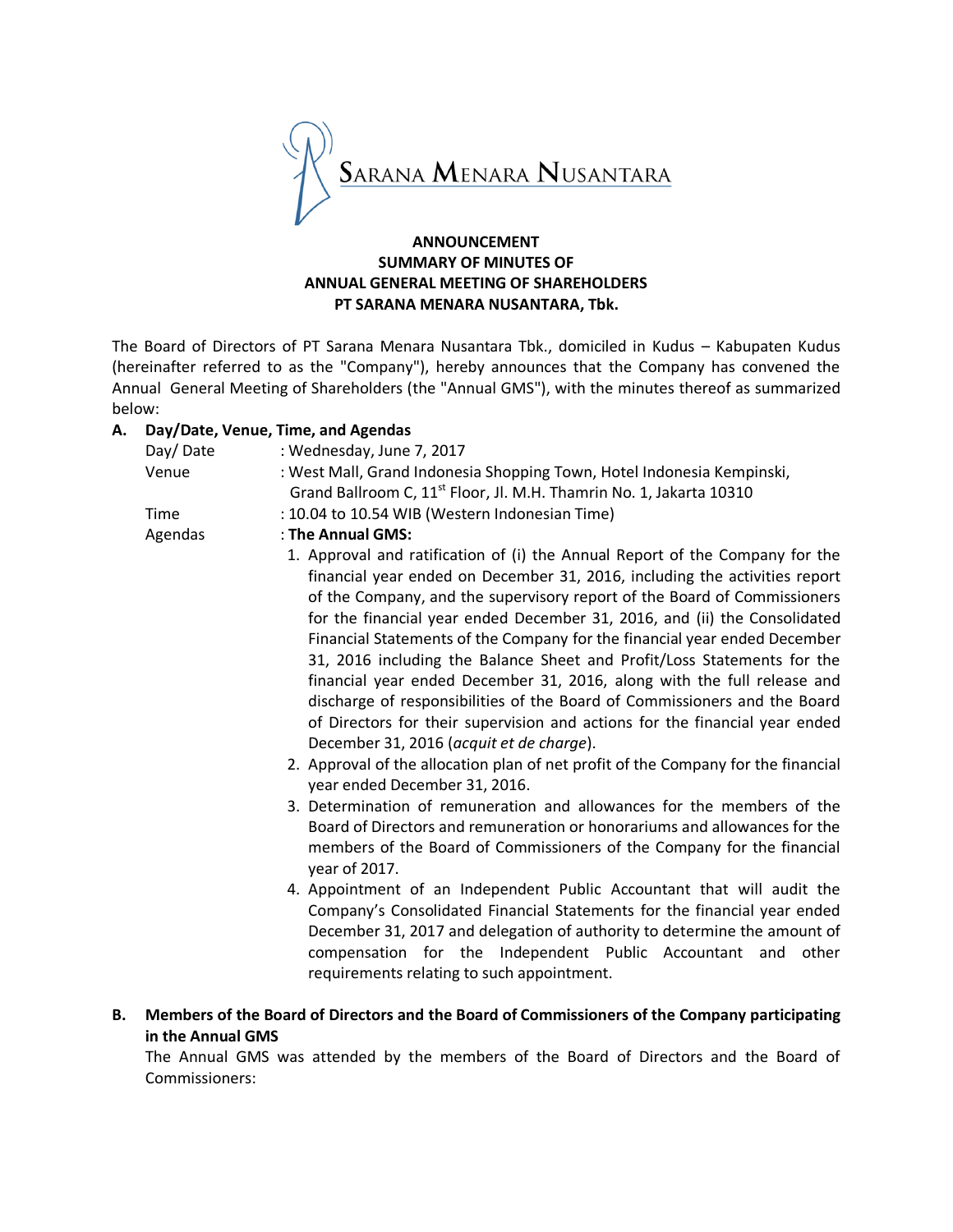

# **ANNOUNCEMENT SUMMARY OF MINUTES OF ANNUAL GENERAL MEETING OF SHAREHOLDERS PT SARANA MENARA NUSANTARA, Tbk.**

The Board of Directors of PT Sarana Menara Nusantara Tbk., domiciled in Kudus – Kabupaten Kudus (hereinafter referred to as the "Company"), hereby announces that the Company has convened the Annual General Meeting of Shareholders (the "Annual GMS"), with the minutes thereof as summarized below:

# **A. Day/Date, Venue, Time, and Agendas**

| A. Dav/Date, Veliue, Tillie, aliu Ageliuas |                                                                                 |  |
|--------------------------------------------|---------------------------------------------------------------------------------|--|
| Day/Date                                   | : Wednesday, June 7, 2017                                                       |  |
| Venue                                      | : West Mall, Grand Indonesia Shopping Town, Hotel Indonesia Kempinski,          |  |
|                                            | Grand Ballroom C, 11 <sup>st</sup> Floor, Jl. M.H. Thamrin No. 1, Jakarta 10310 |  |
| Time                                       | : 10.04 to 10.54 WIB (Western Indonesian Time)                                  |  |
| Agendas                                    | : The Annual GMS:                                                               |  |

1. Approval and ratification of (i) the Annual Report of the Company for the financial year ended on December 31, 2016, including the activities report of the Company, and the supervisory report of the Board of Commissioners for the financial year ended December 31, 2016, and (ii) the Consolidated Financial Statements of the Company for the financial year ended December 31, 2016 including the Balance Sheet and Profit/Loss Statements for the financial year ended December 31, 2016, along with the full release and discharge of responsibilities of the Board of Commissioners and the Board of Directors for their supervision and actions for the financial year ended December 31, 2016 (*acquit et de charge*).

- 2. Approval of the allocation plan of net profit of the Company for the financial year ended December 31, 2016.
- 3. Determination of remuneration and allowances for the members of the Board of Directors and remuneration or honorariums and allowances for the members of the Board of Commissioners of the Company for the financial year of 2017.
- 4. Appointment of an Independent Public Accountant that will audit the Company's Consolidated Financial Statements for the financial year ended December 31, 2017 and delegation of authority to determine the amount of compensation for the Independent Public Accountant and other requirements relating to such appointment.
- **B. Members of the Board of Directors and the Board of Commissioners of the Company participating in the Annual GMS**

The Annual GMS was attended by the members of the Board of Directors and the Board of Commissioners: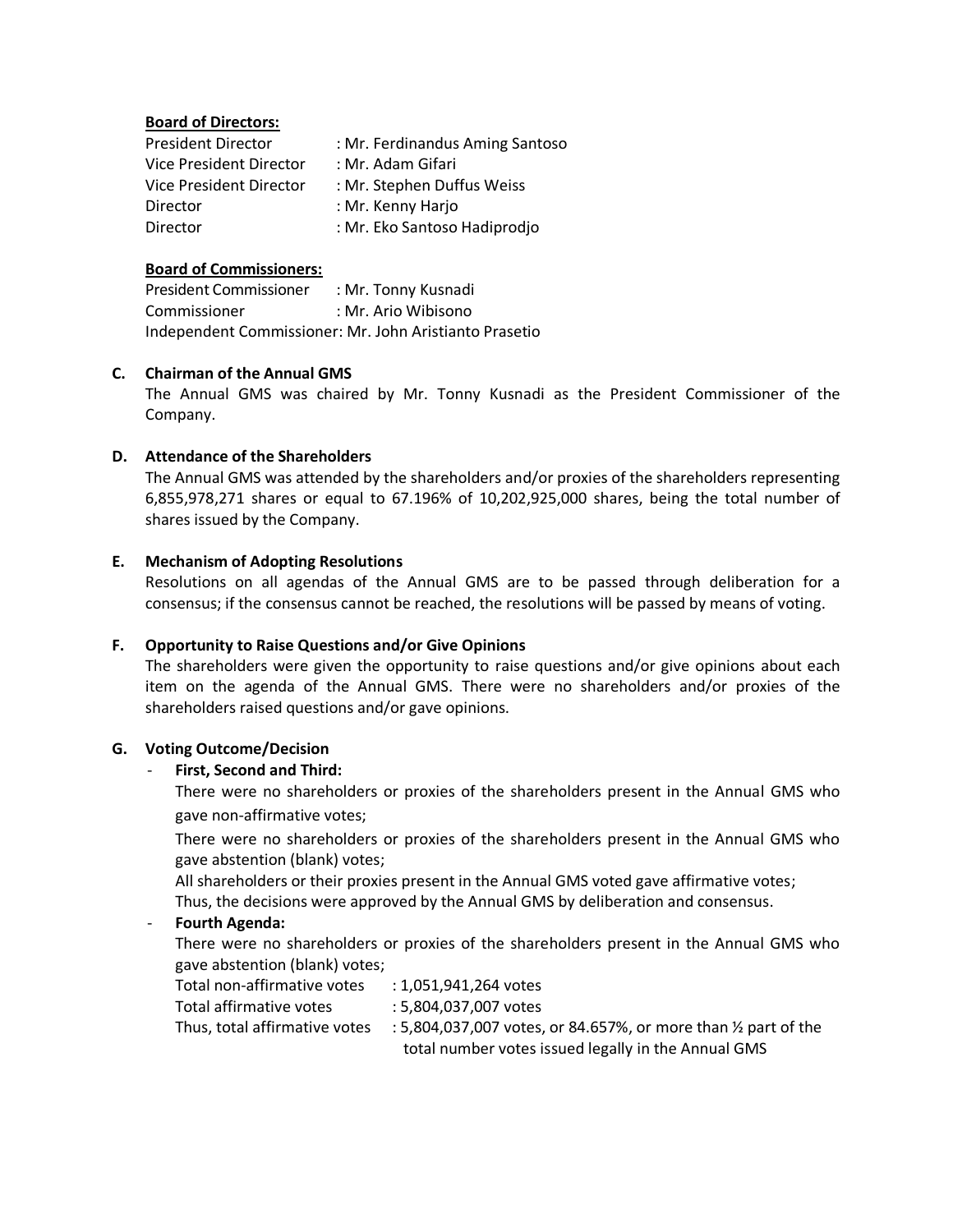### **Board of Directors:**

| <b>President Director</b> | : Mr. Ferdinandus Aming Santoso |  |
|---------------------------|---------------------------------|--|
| Vice President Director   | : Mr. Adam Gifari               |  |
| Vice President Director   | : Mr. Stephen Duffus Weiss      |  |
| <b>Director</b>           | : Mr. Kenny Harjo               |  |
| Director                  | : Mr. Eko Santoso Hadiprodjo    |  |

### **Board of Commissioners:**

President Commissioner : Mr. Tonny Kusnadi Commissioner : Mr. Ario Wibisono Independent Commissioner: Mr. John Aristianto Prasetio

### **C. Chairman of the Annual GMS**

The Annual GMS was chaired by Mr. Tonny Kusnadi as the President Commissioner of the Company.

### **D. Attendance of the Shareholders**

The Annual GMS was attended by the shareholders and/or proxies of the shareholders representing 6,855,978,271 shares or equal to 67.196% of 10,202,925,000 shares, being the total number of shares issued by the Company.

### **E. Mechanism of Adopting Resolutions**

Resolutions on all agendas of the Annual GMS are to be passed through deliberation for a consensus; if the consensus cannot be reached, the resolutions will be passed by means of voting.

# **F. Opportunity to Raise Questions and/or Give Opinions**

The shareholders were given the opportunity to raise questions and/or give opinions about each item on the agenda of the Annual GMS. There were no shareholders and/or proxies of the shareholders raised questions and/or gave opinions.

#### **G. Voting Outcome/Decision**

# - **First, Second and Third:**

There were no shareholders or proxies of the shareholders present in the Annual GMS who gave non-affirmative votes;

There were no shareholders or proxies of the shareholders present in the Annual GMS who gave abstention (blank) votes;

All shareholders or their proxies present in the Annual GMS voted gave affirmative votes;

Thus, the decisions were approved by the Annual GMS by deliberation and consensus.

#### - **Fourth Agenda:**

There were no shareholders or proxies of the shareholders present in the Annual GMS who gave abstention (blank) votes;

| Total non-affirmative votes   | : 1.051.941.264 votes                                                     |  |
|-------------------------------|---------------------------------------------------------------------------|--|
| Total affirmative votes       | : 5.804.037.007 votes                                                     |  |
| Thus, total affirmative votes | : 5,804,037,007 votes, or 84.657%, or more than $\frac{1}{2}$ part of the |  |
|                               | total number votes issued legally in the Annual GMS                       |  |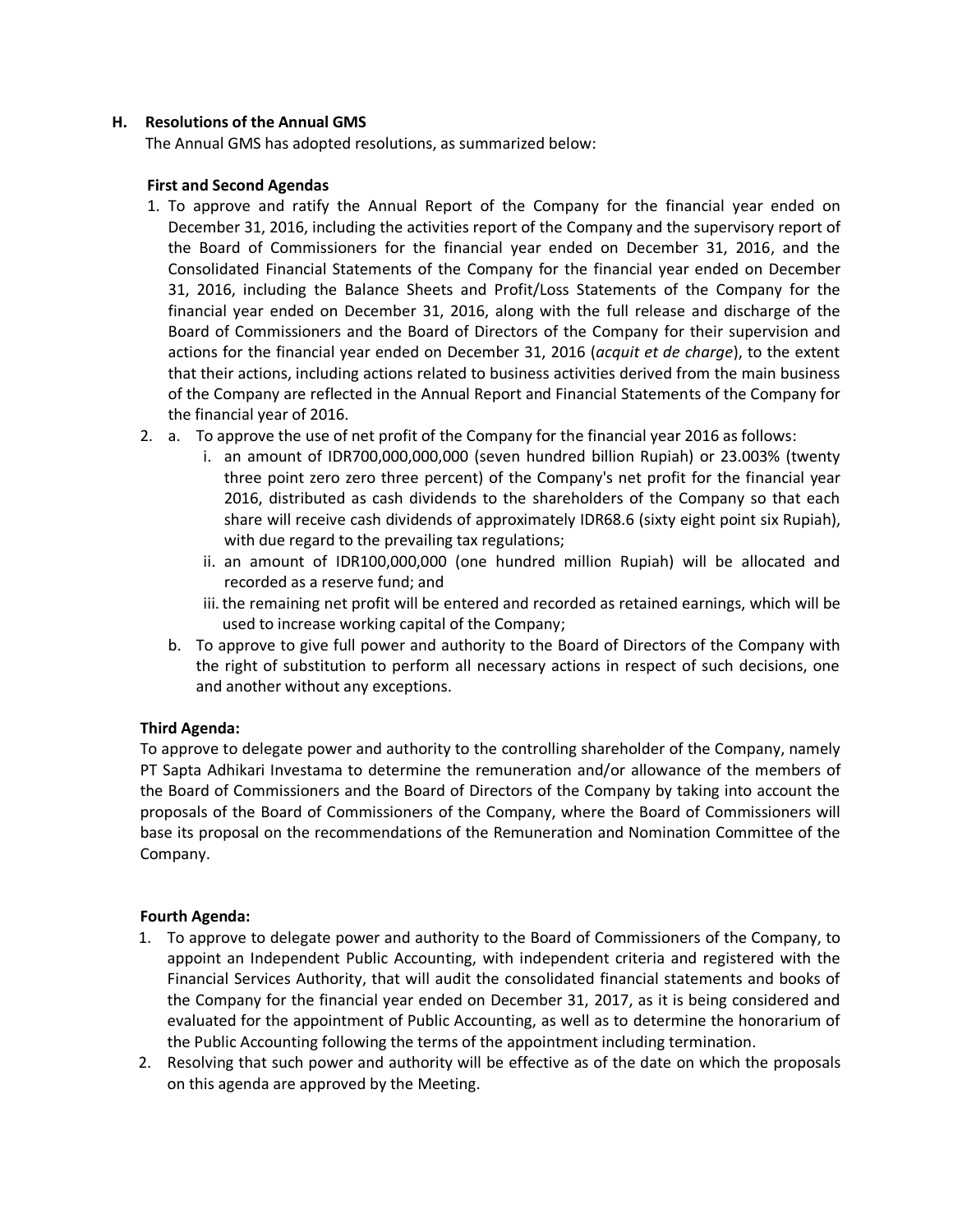# **H. Resolutions of the Annual GMS**

The Annual GMS has adopted resolutions, as summarized below:

# **First and Second Agendas**

- 1. To approve and ratify the Annual Report of the Company for the financial year ended on December 31, 2016, including the activities report of the Company and the supervisory report of the Board of Commissioners for the financial year ended on December 31, 2016, and the Consolidated Financial Statements of the Company for the financial year ended on December 31, 2016, including the Balance Sheets and Profit/Loss Statements of the Company for the financial year ended on December 31, 2016, along with the full release and discharge of the Board of Commissioners and the Board of Directors of the Company for their supervision and actions for the financial year ended on December 31, 2016 (*acquit et de charge*), to the extent that their actions, including actions related to business activities derived from the main business of the Company are reflected in the Annual Report and Financial Statements of the Company for the financial year of 2016.
- 2. a. To approve the use of net profit of the Company for the financial year 2016 as follows:
	- i. an amount of IDR700,000,000,000 (seven hundred billion Rupiah) or 23.003% (twenty three point zero zero three percent) of the Company's net profit for the financial year 2016, distributed as cash dividends to the shareholders of the Company so that each share will receive cash dividends of approximately IDR68.6 (sixty eight point six Rupiah), with due regard to the prevailing tax regulations;
	- ii. an amount of IDR100,000,000 (one hundred million Rupiah) will be allocated and recorded as a reserve fund; and
	- iii. the remaining net profit will be entered and recorded as retained earnings, which will be used to increase working capital of the Company;
	- b. To approve to give full power and authority to the Board of Directors of the Company with the right of substitution to perform all necessary actions in respect of such decisions, one and another without any exceptions.

# **Third Agenda:**

To approve to delegate power and authority to the controlling shareholder of the Company, namely PT Sapta Adhikari Investama to determine the remuneration and/or allowance of the members of the Board of Commissioners and the Board of Directors of the Company by taking into account the proposals of the Board of Commissioners of the Company, where the Board of Commissioners will base its proposal on the recommendations of the Remuneration and Nomination Committee of the Company.

# **Fourth Agenda:**

- 1. To approve to delegate power and authority to the Board of Commissioners of the Company, to appoint an Independent Public Accounting, with independent criteria and registered with the Financial Services Authority, that will audit the consolidated financial statements and books of the Company for the financial year ended on December 31, 2017, as it is being considered and evaluated for the appointment of Public Accounting, as well as to determine the honorarium of the Public Accounting following the terms of the appointment including termination.
- 2. Resolving that such power and authority will be effective as of the date on which the proposals on this agenda are approved by the Meeting.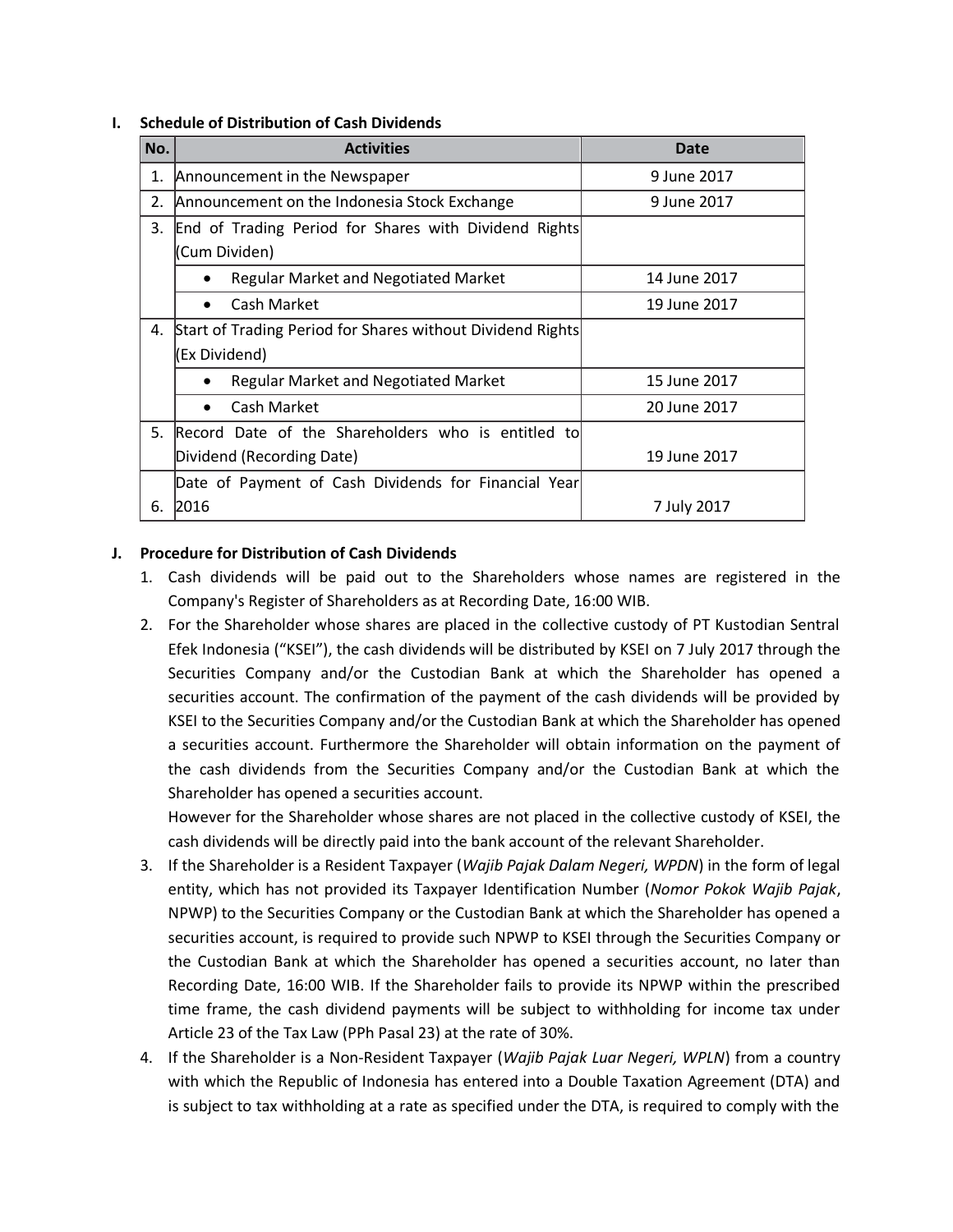### **I. Schedule of Distribution of Cash Dividends**

| No. | <b>Activities</b>                                          | <b>Date</b>  |  |  |
|-----|------------------------------------------------------------|--------------|--|--|
| 1.  | Announcement in the Newspaper                              | 9 June 2017  |  |  |
| 2.  | Announcement on the Indonesia Stock Exchange               | 9 June 2017  |  |  |
| 3.  | End of Trading Period for Shares with Dividend Rights      |              |  |  |
|     | Cum Dividen)                                               |              |  |  |
|     | <b>Regular Market and Negotiated Market</b>                | 14 June 2017 |  |  |
|     | Cash Market<br>$\bullet$                                   | 19 June 2017 |  |  |
| 4.  | Start of Trading Period for Shares without Dividend Rights |              |  |  |
|     | Ex Dividend)                                               |              |  |  |
|     | Regular Market and Negotiated Market                       | 15 June 2017 |  |  |
|     | Cash Market<br>$\bullet$                                   | 20 June 2017 |  |  |
| 5.  | Record Date of the Shareholders who is entitled to         |              |  |  |
|     | Dividend (Recording Date)                                  | 19 June 2017 |  |  |
|     | Date of Payment of Cash Dividends for Financial Year       |              |  |  |
| 6.  | 2016                                                       | 7 July 2017  |  |  |

# **J. Procedure for Distribution of Cash Dividends**

- 1. Cash dividends will be paid out to the Shareholders whose names are registered in the Company's Register of Shareholders as at Recording Date, 16:00 WIB.
- 2. For the Shareholder whose shares are placed in the collective custody of PT Kustodian Sentral Efek Indonesia ("KSEI"), the cash dividends will be distributed by KSEI on 7 July 2017 through the Securities Company and/or the Custodian Bank at which the Shareholder has opened a securities account. The confirmation of the payment of the cash dividends will be provided by KSEI to the Securities Company and/or the Custodian Bank at which the Shareholder has opened a securities account. Furthermore the Shareholder will obtain information on the payment of the cash dividends from the Securities Company and/or the Custodian Bank at which the Shareholder has opened a securities account.

However for the Shareholder whose shares are not placed in the collective custody of KSEI, the cash dividends will be directly paid into the bank account of the relevant Shareholder.

- 3. If the Shareholder is a Resident Taxpayer (*Wajib Pajak Dalam Negeri, WPDN*) in the form of legal entity, which has not provided its Taxpayer Identification Number (*Nomor Pokok Wajib Pajak*, NPWP) to the Securities Company or the Custodian Bank at which the Shareholder has opened a securities account, is required to provide such NPWP to KSEI through the Securities Company or the Custodian Bank at which the Shareholder has opened a securities account, no later than Recording Date, 16:00 WIB. If the Shareholder fails to provide its NPWP within the prescribed time frame, the cash dividend payments will be subject to withholding for income tax under Article 23 of the Tax Law (PPh Pasal 23) at the rate of 30%.
- 4. If the Shareholder is a Non‐Resident Taxpayer (*Wajib Pajak Luar Negeri, WPLN*) from a country with which the Republic of Indonesia has entered into a Double Taxation Agreement (DTA) and is subject to tax withholding at a rate as specified under the DTA, is required to comply with the